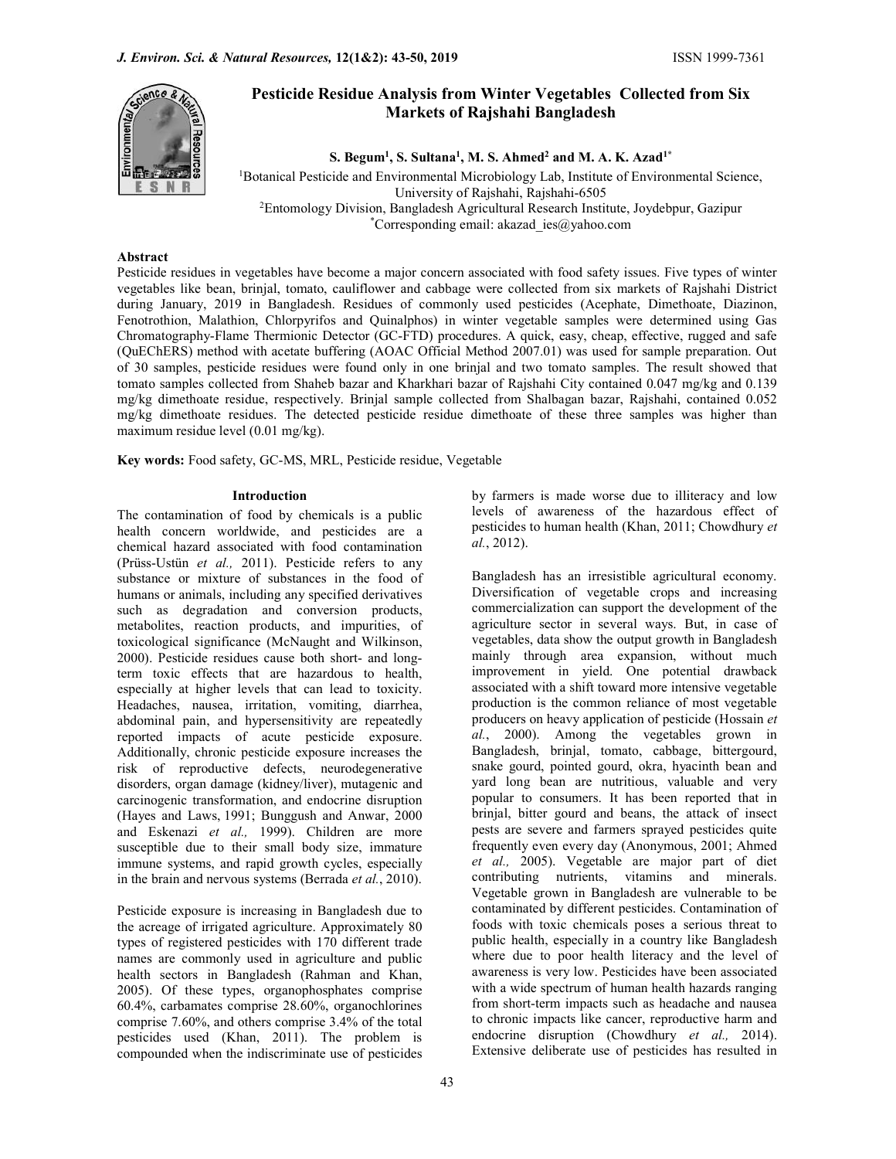

# Pesticide Residue Analysis from Winter Vegetables Collected from Six Markets of Rajshahi Bangladesh

S. Begum<sup>1</sup>, S. Sultana<sup>1</sup>, M. S. Ahmed<sup>2</sup> and M. A. K. Azad<sup>1\*</sup>

<sup>1</sup>Botanical Pesticide and Environmental Microbiology Lab, Institute of Environmental Science, University of Rajshahi, Rajshahi-6505 <sup>2</sup>Entomology Division, Bangladesh Agricultural Research Institute, Joydebpur, Gazipur

\*Corresponding email: akazad ies@yahoo.com

# Abstract

Pesticide residues in vegetables have become a major concern associated with food safety issues. Five types of winter vegetables like bean, brinjal, tomato, cauliflower and cabbage were collected from six markets of Rajshahi District during January, 2019 in Bangladesh. Residues of commonly used pesticides (Acephate, Dimethoate, Diazinon, Fenotrothion, Malathion, Chlorpyrifos and Quinalphos) in winter vegetable samples were determined using Gas Chromatography-Flame Thermionic Detector (GC-FTD) procedures. A quick, easy, cheap, effective, rugged and safe (QuEChERS) method with acetate buffering (AOAC Official Method 2007.01) was used for sample preparation. Out of 30 samples, pesticide residues were found only in one brinjal and two tomato samples. The result showed that tomato samples collected from Shaheb bazar and Kharkhari bazar of Rajshahi City contained 0.047 mg/kg and 0.139 mg/kg dimethoate residue, respectively. Brinjal sample collected from Shalbagan bazar, Rajshahi, contained 0.052 mg/kg dimethoate residues. The detected pesticide residue dimethoate of these three samples was higher than maximum residue level (0.01 mg/kg).

Key words: Food safety, GC-MS, MRL, Pesticide residue, Vegetable

# Introduction

The contamination of food by chemicals is a public health concern worldwide, and pesticides are a chemical hazard associated with food contamination (Prüss-Ustün et al., 2011). Pesticide refers to any substance or mixture of substances in the food of humans or animals, including any specified derivatives such as degradation and conversion products, metabolites, reaction products, and impurities, of toxicological significance (McNaught and Wilkinson, 2000). Pesticide residues cause both short- and longterm toxic effects that are hazardous to health, especially at higher levels that can lead to toxicity. Headaches, nausea, irritation, vomiting, diarrhea, abdominal pain, and hypersensitivity are repeatedly reported impacts of acute pesticide exposure. Additionally, chronic pesticide exposure increases the risk of reproductive defects, neurodegenerative disorders, organ damage (kidney/liver), mutagenic and carcinogenic transformation, and endocrine disruption (Hayes and Laws, 1991; Bunggush and Anwar, 2000 and Eskenazi et al., 1999). Children are more susceptible due to their small body size, immature immune systems, and rapid growth cycles, especially in the brain and nervous systems (Berrada et al., 2010).

Pesticide exposure is increasing in Bangladesh due to the acreage of irrigated agriculture. Approximately 80 types of registered pesticides with 170 different trade names are commonly used in agriculture and public health sectors in Bangladesh (Rahman and Khan, 2005). Of these types, organophosphates comprise 60.4%, carbamates comprise 28.60%, organochlorines comprise 7.60%, and others comprise 3.4% of the total pesticides used (Khan, 2011). The problem is compounded when the indiscriminate use of pesticides

by farmers is made worse due to illiteracy and low levels of awareness of the hazardous effect of pesticides to human health (Khan, 2011; Chowdhury et al., 2012).

Bangladesh has an irresistible agricultural economy. Diversification of vegetable crops and increasing commercialization can support the development of the agriculture sector in several ways. But, in case of vegetables, data show the output growth in Bangladesh mainly through area expansion, without much improvement in yield. One potential drawback associated with a shift toward more intensive vegetable production is the common reliance of most vegetable producers on heavy application of pesticide (Hossain et al., 2000). Among the vegetables grown in Bangladesh, brinjal, tomato, cabbage, bittergourd, snake gourd, pointed gourd, okra, hyacinth bean and yard long bean are nutritious, valuable and very popular to consumers. It has been reported that in brinjal, bitter gourd and beans, the attack of insect pests are severe and farmers sprayed pesticides quite frequently even every day (Anonymous, 2001; Ahmed et al., 2005). Vegetable are major part of diet contributing nutrients, vitamins and minerals. Vegetable grown in Bangladesh are vulnerable to be contaminated by different pesticides. Contamination of foods with toxic chemicals poses a serious threat to public health, especially in a country like Bangladesh where due to poor health literacy and the level of awareness is very low. Pesticides have been associated with a wide spectrum of human health hazards ranging from short-term impacts such as headache and nausea to chronic impacts like cancer, reproductive harm and endocrine disruption (Chowdhury et al., 2014). Extensive deliberate use of pesticides has resulted in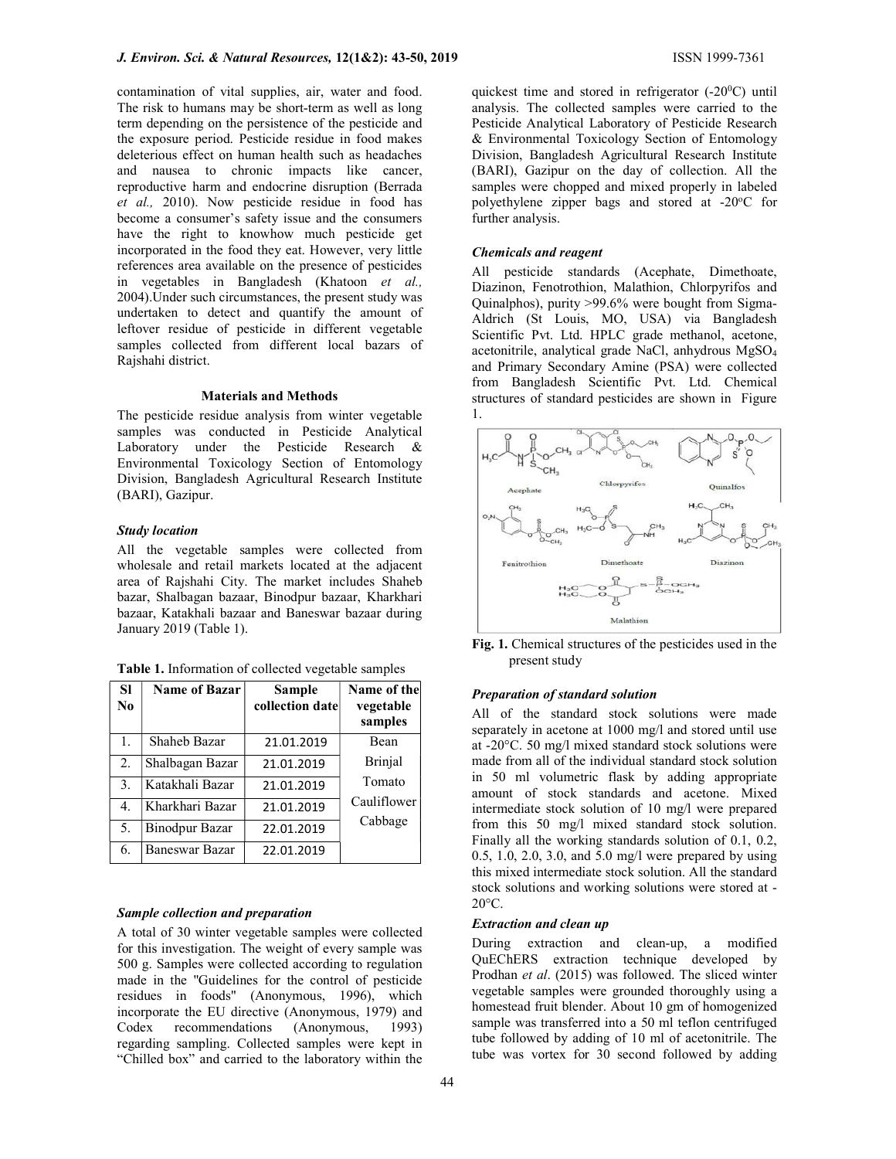contamination of vital supplies, air, water and food. The risk to humans may be short-term as well as long term depending on the persistence of the pesticide and the exposure period. Pesticide residue in food makes deleterious effect on human health such as headaches and nausea to chronic impacts like cancer, reproductive harm and endocrine disruption (Berrada et al., 2010). Now pesticide residue in food has become a consumer's safety issue and the consumers have the right to knowhow much pesticide get incorporated in the food they eat. However, very little references area available on the presence of pesticides in vegetables in Bangladesh (Khatoon et al., 2004).Under such circumstances, the present study was undertaken to detect and quantify the amount of leftover residue of pesticide in different vegetable samples collected from different local bazars of Rajshahi district.

#### Materials and Methods

The pesticide residue analysis from winter vegetable samples was conducted in Pesticide Analytical Laboratory under the Pesticide Research & Environmental Toxicology Section of Entomology Division, Bangladesh Agricultural Research Institute (BARI), Gazipur.

## Study location

All the vegetable samples were collected from wholesale and retail markets located at the adjacent area of Rajshahi City. The market includes Shaheb bazar, Shalbagan bazaar, Binodpur bazaar, Kharkhari bazaar, Katakhali bazaar and Baneswar bazaar during January 2019 (Table 1).

| Table 1. Information of collected vegetable samples |
|-----------------------------------------------------|
|-----------------------------------------------------|

| <b>SI</b> | <b>Name of Bazar</b>  | Sample          | Name of the          |
|-----------|-----------------------|-----------------|----------------------|
| No        |                       | collection date | vegetable<br>samples |
| 1.        | Shaheb Bazar          | 21.01.2019      | Bean                 |
| 2.        | Shalbagan Bazar       | 21.01.2019      | <b>Brinjal</b>       |
| 3.        | Katakhali Bazar       | 21.01.2019      | Tomato               |
| 4.        | Kharkhari Bazar       | 21.01.2019      | Cauliflower          |
| 5.        | <b>Binodpur Bazar</b> | 22.01.2019      | Cabbage              |
| 6.        | <b>Baneswar Bazar</b> | 22.01.2019      |                      |

#### Sample collection and preparation

A total of 30 winter vegetable samples were collected for this investigation. The weight of every sample was 500 g. Samples were collected according to regulation made in the ''Guidelines for the control of pesticide residues in foods" (Anonymous, 1996), which incorporate the EU directive (Anonymous, 1979) and Codex recommendations (Anonymous, 1993) regarding sampling. Collected samples were kept in "Chilled box" and carried to the laboratory within the

quickest time and stored in refrigerator (-20<sup>0</sup>C) until analysis. The collected samples were carried to the Pesticide Analytical Laboratory of Pesticide Research & Environmental Toxicology Section of Entomology Division, Bangladesh Agricultural Research Institute (BARI), Gazipur on the day of collection. All the samples were chopped and mixed properly in labeled polyethylene zipper bags and stored at -20°C for further analysis.

# Chemicals and reagent

All pesticide standards (Acephate, Dimethoate, Diazinon, Fenotrothion, Malathion, Chlorpyrifos and Quinalphos), purity >99.6% were bought from Sigma-Aldrich (St Louis, MO, USA) via Bangladesh Scientific Pvt. Ltd. HPLC grade methanol, acetone, acetonitrile, analytical grade NaCl, anhydrous MgSO<sup>4</sup> and Primary Secondary Amine (PSA) were collected from Bangladesh Scientific Pvt. Ltd. Chemical structures of standard pesticides are shown in Figure 1.



Fig. 1. Chemical structures of the pesticides used in the present study

#### Preparation of standard solution

All of the standard stock solutions were made separately in acetone at 1000 mg/l and stored until use at -20°C. 50 mg/l mixed standard stock solutions were made from all of the individual standard stock solution in 50 ml volumetric flask by adding appropriate amount of stock standards and acetone. Mixed intermediate stock solution of 10 mg/l were prepared from this 50 mg/l mixed standard stock solution. Finally all the working standards solution of 0.1, 0.2, 0.5, 1.0, 2.0, 3.0, and 5.0 mg/l were prepared by using this mixed intermediate stock solution. All the standard stock solutions and working solutions were stored at - 20°C.

# Extraction and clean up

During extraction and clean-up, a modified QuEChERS extraction technique developed by Prodhan et al. (2015) was followed. The sliced winter vegetable samples were grounded thoroughly using a homestead fruit blender. About 10 gm of homogenized sample was transferred into a 50 ml teflon centrifuged tube followed by adding of 10 ml of acetonitrile. The tube was vortex for 30 second followed by adding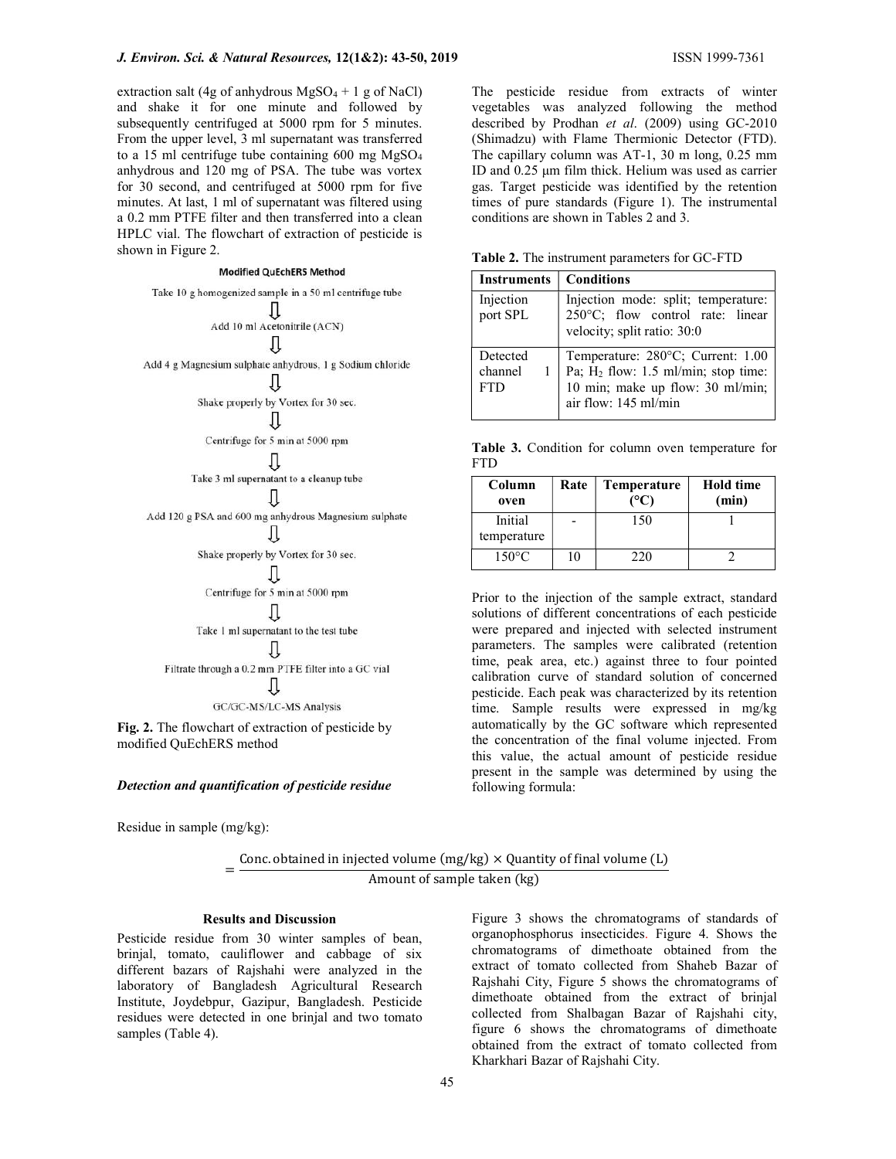extraction salt (4g of anhydrous  $MgSO_4 + 1 g$  of NaCl) and shake it for one minute and followed by subsequently centrifuged at 5000 rpm for 5 minutes. From the upper level, 3 ml supernatant was transferred to a 15 ml centrifuge tube containing  $600$  mg  $MgSO<sub>4</sub>$ anhydrous and 120 mg of PSA. The tube was vortex for 30 second, and centrifuged at 5000 rpm for five minutes. At last, 1 ml of supernatant was filtered using a 0.2 mm PTFE filter and then transferred into a clean HPLC vial. The flowchart of extraction of pesticide is shown in Figure 2.

#### **Modified QuEchERS Method**



Fig. 2. The flowchart of extraction of pesticide by modified QuEchERS method

#### Detection and quantification of pesticide residue

Residue in sample (mg/kg):

= Conc. obtained in injected volume (mg/kg)  $\times$  Quantity of final volume (L) Amount of sample taken (kg)

## Results and Discussion

Pesticide residue from 30 winter samples of bean, brinjal, tomato, cauliflower and cabbage of six different bazars of Rajshahi were analyzed in the laboratory of Bangladesh Agricultural Research Institute, Joydebpur, Gazipur, Bangladesh. Pesticide residues were detected in one brinjal and two tomato samples (Table 4).

The pesticide residue from extracts of winter vegetables was analyzed following the method described by Prodhan et al. (2009) using GC-2010 (Shimadzu) with Flame Thermionic Detector (FTD). The capillary column was AT-1, 30 m long, 0.25 mm ID and 0.25 μm film thick. Helium was used as carrier gas. Target pesticide was identified by the retention times of pure standards (Figure 1). The instrumental conditions are shown in Tables 2 and 3.

Table 2. The instrument parameters for GC-FTD

| <b>Instruments</b>                | <b>Conditions</b>                                                                                                                                |  |  |  |  |
|-----------------------------------|--------------------------------------------------------------------------------------------------------------------------------------------------|--|--|--|--|
| Injection<br>port SPL             | Injection mode: split; temperature:<br>250°C; flow control rate: linear<br>velocity; split ratio: 30:0                                           |  |  |  |  |
| Detected<br>channel<br><b>FTD</b> | Temperature: 280°C; Current: 1.00<br>Pa; H <sub>2</sub> flow: 1.5 ml/min; stop time:<br>10 min; make up flow: 30 ml/min;<br>air flow: 145 ml/min |  |  |  |  |

Table 3. Condition for column oven temperature for FTD

| Column<br>oven         | Rate | <b>Temperature</b><br>(°C) | <b>Hold time</b><br>(min) |  |
|------------------------|------|----------------------------|---------------------------|--|
| Initial<br>temperature |      | 150                        |                           |  |
| $150^{\circ}$ C        | 10   | 220                        |                           |  |

Prior to the injection of the sample extract, standard solutions of different concentrations of each pesticide were prepared and injected with selected instrument parameters. The samples were calibrated (retention time, peak area, etc.) against three to four pointed calibration curve of standard solution of concerned pesticide. Each peak was characterized by its retention time. Sample results were expressed in mg/kg automatically by the GC software which represented the concentration of the final volume injected. From this value, the actual amount of pesticide residue present in the sample was determined by using the following formula:

Figure 3 shows the chromatograms of standards of organophosphorus insecticides. Figure 4. Shows the chromatograms of dimethoate obtained from the extract of tomato collected from Shaheb Bazar of Rajshahi City, Figure 5 shows the chromatograms of dimethoate obtained from the extract of brinjal collected from Shalbagan Bazar of Rajshahi city, figure 6 shows the chromatograms of dimethoate obtained from the extract of tomato collected from Kharkhari Bazar of Rajshahi City.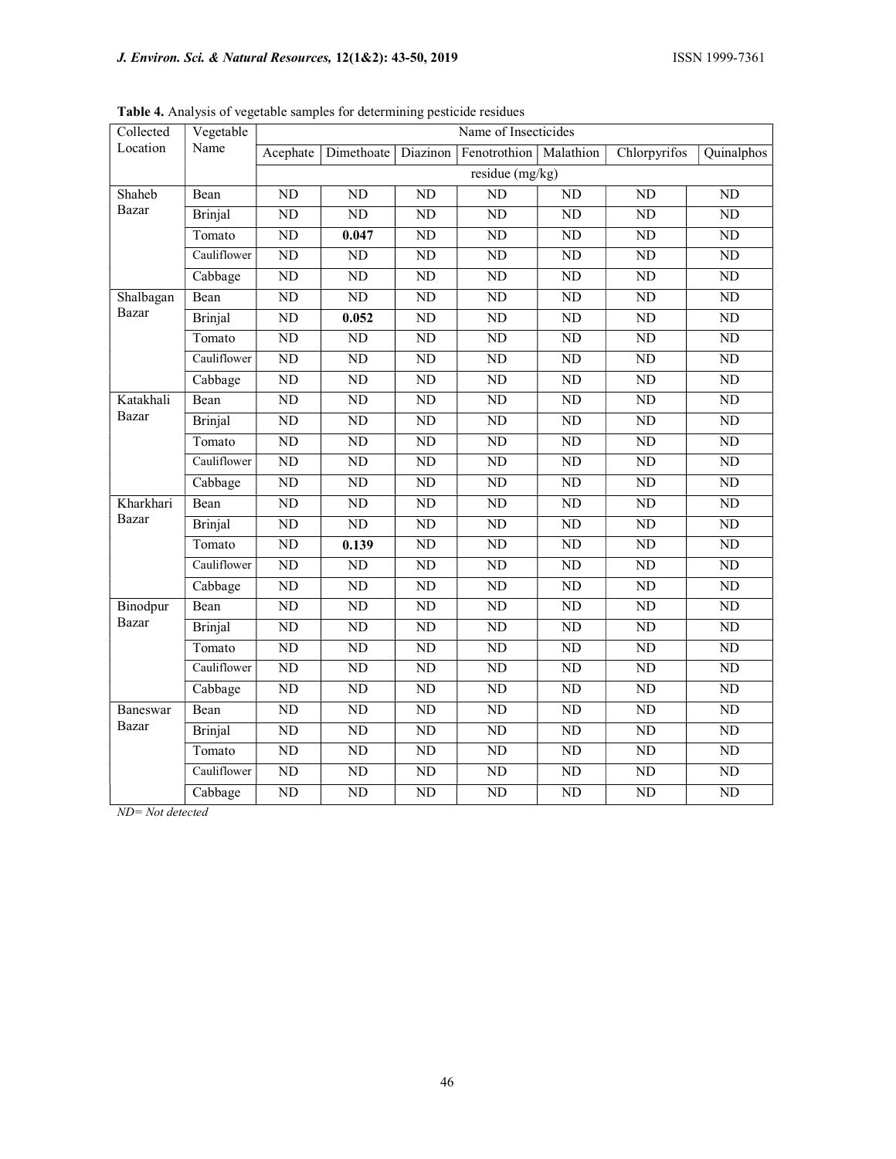| Collected         | Vegetable<br>Name | ັ້<br>Name of Insecticides |                       |                        |                          |                 |                 |                 |
|-------------------|-------------------|----------------------------|-----------------------|------------------------|--------------------------|-----------------|-----------------|-----------------|
| Location          |                   |                            | Acephate   Dimethoate | Diazinon               | Fenotrothion   Malathion |                 | Chlorpyrifos    | Quinalphos      |
|                   |                   | residue (mg/kg)            |                       |                        |                          |                 |                 |                 |
| Shaheb            | Bean              | ND                         | <b>ND</b>             | ND                     | ND                       | N <sub>D</sub>  | ND              | ND              |
| <b>Bazar</b>      | <b>Brinjal</b>    | $\overline{ND}$            | $\overline{ND}$       | $\overline{ND}$        | ND                       | $\overline{ND}$ | $\overline{ND}$ | ND              |
|                   | Tomato            | ND                         | 0.047                 | ND                     | ND                       | N <sub>D</sub>  | ND              | ND              |
|                   | Cauliflower       | $\overline{ND}$            | $\overline{ND}$       | $\overline{ND}$        | ND                       | $\overline{ND}$ | ND              | ND              |
|                   | Cabbage           | $\overline{ND}$            | $\overline{ND}$       | $\overline{ND}$        | $\overline{ND}$          | $\overline{ND}$ | $\overline{ND}$ | $\overline{ND}$ |
| Shalbagan         | Bean              | $\overline{ND}$            | $\overline{ND}$       | $\overline{ND}$        | ND                       | ND              | ND              | ND              |
| <b>Bazar</b>      | <b>Brinjal</b>    | $\overline{ND}$            | 0.052                 | ND                     | ND                       | $\overline{ND}$ | $\overline{ND}$ | ND              |
|                   | Tomato            | ND                         | N <sub>D</sub>        | ND                     | $\rm ND$                 | ND              | $\rm ND$        | ${\rm ND}$      |
|                   | Cauliflower       | $\overline{ND}$            | $\overline{ND}$       | $\overline{ND}$        | $\overline{ND}$          | $\overline{ND}$ | $\overline{ND}$ | $\overline{ND}$ |
|                   | Cabbage           | $\overline{ND}$            | $\overline{ND}$       | $\overline{ND}$        | $\overline{ND}$          | $\overline{ND}$ | $\overline{ND}$ | $\overline{ND}$ |
| Katakhali         | Bean              | ND                         | <b>ND</b>             | ND                     | ND                       | N <sub>D</sub>  | ND              | ND              |
| Bazar             | Brinjal           | $\overline{ND}$            | $\overline{ND}$       | $\overline{ND}$        | $\overline{ND}$          | $\overline{ND}$ | ND              | $\overline{ND}$ |
|                   | Tomato            | ND                         | <b>ND</b>             | ND                     | ND                       | N <sub>D</sub>  | ND              | ND              |
|                   | Cauliflower       | ND                         | $\overline{ND}$       | ND                     | ND                       | $\overline{ND}$ | ND              | ND              |
|                   | Cabbage           | ND                         | $\overline{ND}$       | $\overline{ND}$        | $\overline{ND}$          | $\overline{ND}$ | $\overline{ND}$ | $\overline{ND}$ |
| Kharkhari         | Bean              | ND                         | ND                    | ND                     | ND                       | ND              | ND              | <b>ND</b>       |
| Bazar             | <b>Brinjal</b>    | $\overline{ND}$            | $\overline{ND}$       | $\overline{ND}$        | $\overline{ND}$          | $\overline{ND}$ | $\overline{ND}$ | $\overline{ND}$ |
|                   | Tomato            | $\overline{ND}$            | 0.139                 | $\overline{ND}$        | $\overline{ND}$          | $\overline{ND}$ | $\overline{ND}$ | $\overline{ND}$ |
|                   | Cauliflower       | $\overline{ND}$            | $\overline{ND}$       | $\overline{ND}$        | $\overline{ND}$          | $\overline{ND}$ | $\overline{ND}$ | $\overline{ND}$ |
|                   | Cabbage           | $\overline{ND}$            | $\overline{ND}$       | $\overline{ND}$        | $\overline{ND}$          | $\overline{ND}$ | $\overline{ND}$ | ND              |
| Binodpur<br>Bazar | Bean              | ND                         | ND                    | ND                     | ND                       | ND              | ND              | ND              |
|                   | <b>Brinjal</b>    | $\overline{ND}$            | ND                    | $\rm ND$               | $\overline{ND}$          | $\overline{ND}$ | $\overline{ND}$ | $\overline{ND}$ |
|                   | Tomato            | ND                         | ND                    | ND                     | ND                       | ND              | ND              | ND              |
|                   | Cauliflower       | ND                         | $\overline{ND}$       | $\overline{ND}$        | ND                       | $\overline{ND}$ | ND              | ND              |
|                   | Cabbage           | $\overline{ND}$            | $\overline{ND}$       | $\overline{ND}$        | $\overline{ND}$          | $\overline{ND}$ | $\overline{ND}$ | $\overline{ND}$ |
| Baneswar          | Bean              | $\overline{ND}$            | ND                    | $\overline{\text{ND}}$ | ND                       | ND              | ND              | ND              |
| Bazar             | Brinjal           | $\overline{ND}$            | $\overline{ND}$       | $\overline{ND}$        | ND                       | $\overline{ND}$ | ND              | $\overline{ND}$ |
|                   | Tomato            | $\overline{ND}$            | $\overline{ND}$       | $\overline{ND}$        | $\overline{ND}$          | $\overline{ND}$ | $\overline{ND}$ | ND              |
|                   | Cauliflower       | ${\rm ND}$                 | N <sub>D</sub>        | ${\rm ND}$             | $\rm ND$                 | N <sub>D</sub>  | ${\rm ND}$      | ${\rm ND}$      |
|                   | Cabbage           | ${\rm ND}$                 | N <sub>D</sub>        | ${\rm ND}$             | $\rm ND$                 | ND              | $\rm ND$        | ${\rm ND}$      |

Table 4. Analysis of vegetable samples for determining pesticide residues

ND= Not detected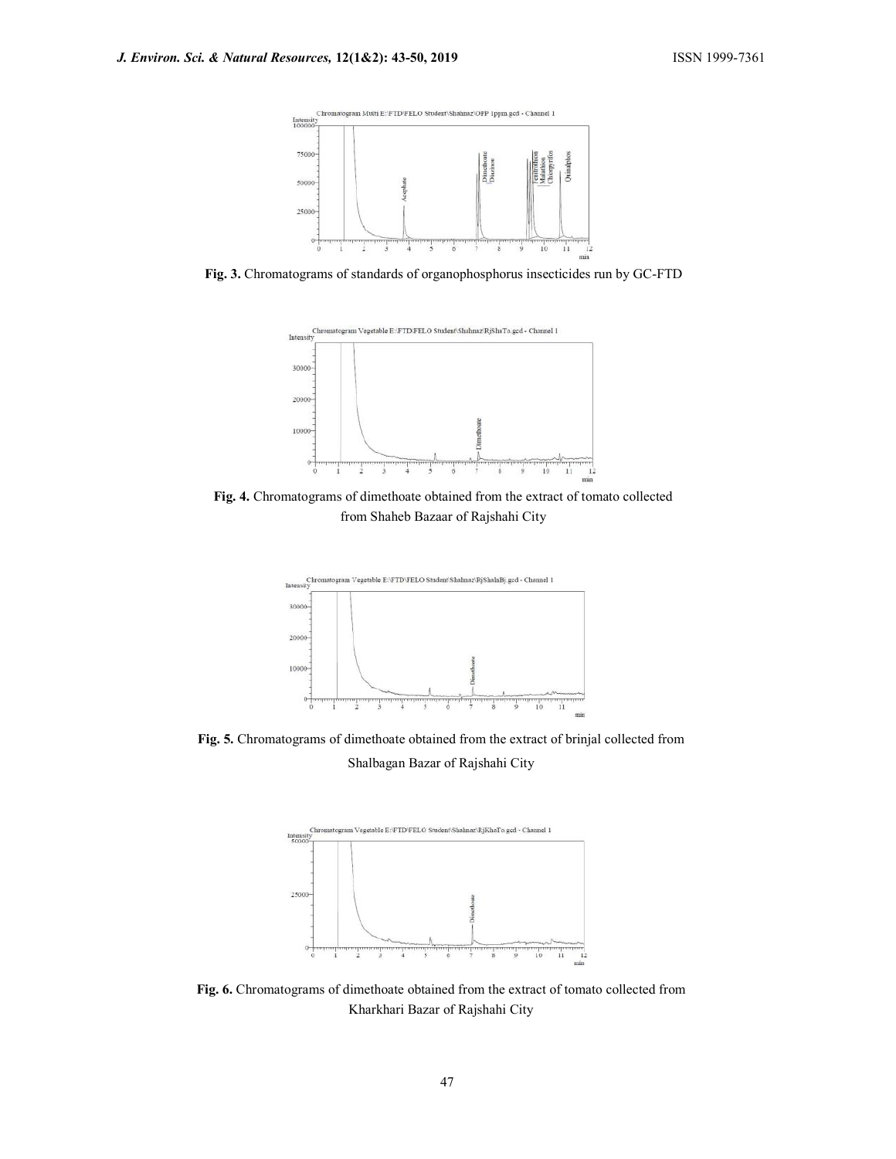

Fig. 3. Chromatograms of standards of organophosphorus insecticides run by GC-FTD



Fig. 4. Chromatograms of dimethoate obtained from the extract of tomato collected from Shaheb Bazaar of Rajshahi City



Fig. 5. Chromatograms of dimethoate obtained from the extract of brinjal collected from Shalbagan Bazar of Rajshahi City



Fig. 6. Chromatograms of dimethoate obtained from the extract of tomato collected from Kharkhari Bazar of Rajshahi City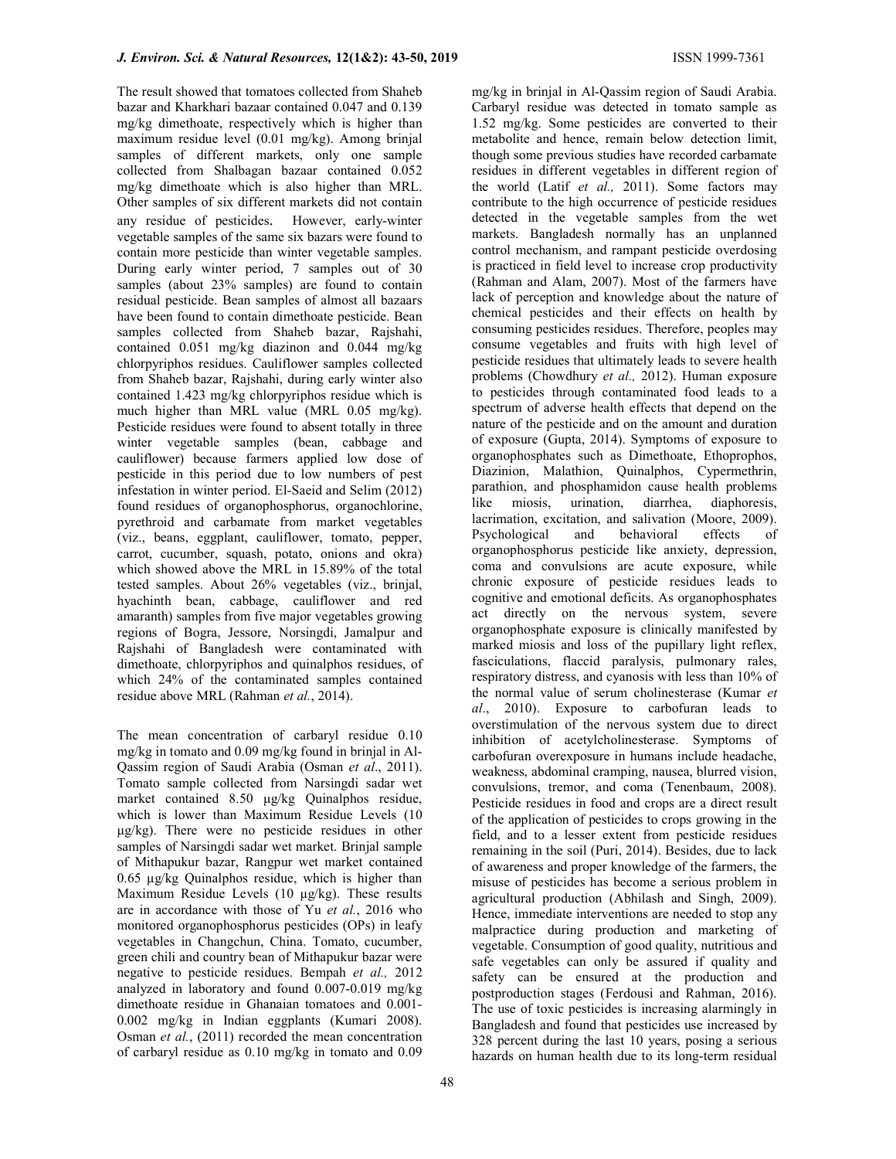The result showed that tomatoes collected from Shaheb bazar and Kharkhari bazaar contained 0.047 and 0.139 mg/kg dimethoate, respectively which is higher than maximum residue level (0.01 mg/kg). Among brinjal samples of different markets, only one sample collected from Shalbagan bazaar contained 0.052 mg/kg dimethoate which is also higher than MRL. Other samples of six different markets did not contain any residue of pesticides. However, early-winter vegetable samples of the same six bazars were found to contain more pesticide than winter vegetable samples. During early winter period, 7 samples out of 30 samples (about 23% samples) are found to contain residual pesticide. Bean samples of almost all bazaars have been found to contain dimethoate pesticide. Bean samples collected from Shaheb bazar, Rajshahi, contained 0.051 mg/kg diazinon and 0.044 mg/kg chlorpyriphos residues. Cauliflower samples collected from Shaheb bazar, Rajshahi, during early winter also contained 1.423 mg/kg chlorpyriphos residue which is much higher than MRL value (MRL 0.05 mg/kg). Pesticide residues were found to absent totally in three winter vegetable samples (bean, cabbage and cauliflower) because farmers applied low dose of pesticide in this period due to low numbers of pest infestation in winter period. El-Saeid and Selim (2012) found residues of organophosphorus, organochlorine, pyrethroid and carbamate from market vegetables (viz., beans, eggplant, cauliflower, tomato, pepper, carrot, cucumber, squash, potato, onions and okra) which showed above the MRL in 15.89% of the total tested samples. About 26% vegetables (viz., brinjal, hyachinth bean, cabbage, cauliflower and red amaranth) samples from five major vegetables growing regions of Bogra, Jessore, Norsingdi, Jamalpur and Rajshahi of Bangladesh were contaminated with dimethoate, chlorpyriphos and quinalphos residues, of which 24% of the contaminated samples contained residue above MRL (Rahman et al., 2014).

The mean concentration of carbaryl residue 0.10 mg/kg in tomato and 0.09 mg/kg found in brinjal in Al-Qassim region of Saudi Arabia (Osman et al., 2011). Tomato sample collected from Narsingdi sadar wet market contained 8.50 μg/kg Quinalphos residue, which is lower than Maximum Residue Levels (10 μg/kg). There were no pesticide residues in other samples of Narsingdi sadar wet market. Brinjal sample of Mithapukur bazar, Rangpur wet market contained 0.65 μg/kg Quinalphos residue, which is higher than Maximum Residue Levels (10 μg/kg). These results are in accordance with those of Yu et al., 2016 who monitored organophosphorus pesticides (OPs) in leafy vegetables in Changchun, China. Tomato, cucumber, green chili and country bean of Mithapukur bazar were negative to pesticide residues. Bempah et al., 2012 analyzed in laboratory and found 0.007-0.019 mg/kg dimethoate residue in Ghanaian tomatoes and 0.001- 0.002 mg/kg in Indian eggplants (Kumari 2008). Osman et al., (2011) recorded the mean concentration of carbaryl residue as 0.10 mg/kg in tomato and 0.09

mg/kg in brinjal in Al-Qassim region of Saudi Arabia. Carbaryl residue was detected in tomato sample as 1.52 mg/kg. Some pesticides are converted to their metabolite and hence, remain below detection limit, though some previous studies have recorded carbamate residues in different vegetables in different region of the world (Latif et al., 2011). Some factors may contribute to the high occurrence of pesticide residues detected in the vegetable samples from the wet markets. Bangladesh normally has an unplanned control mechanism, and rampant pesticide overdosing is practiced in field level to increase crop productivity (Rahman and Alam, 2007). Most of the farmers have lack of perception and knowledge about the nature of chemical pesticides and their effects on health by consuming pesticides residues. Therefore, peoples may consume vegetables and fruits with high level of pesticide residues that ultimately leads to severe health problems (Chowdhury et al., 2012). Human exposure to pesticides through contaminated food leads to a spectrum of adverse health effects that depend on the nature of the pesticide and on the amount and duration of exposure (Gupta, 2014). Symptoms of exposure to organophosphates such as Dimethoate, Ethoprophos, Diazinion, Malathion, Quinalphos, Cypermethrin, parathion, and phosphamidon cause health problems like miosis, urination, diarrhea, diaphoresis, lacrimation, excitation, and salivation (Moore, 2009). Psychological and behavioral effects of organophosphorus pesticide like anxiety, depression, coma and convulsions are acute exposure, while chronic exposure of pesticide residues leads to cognitive and emotional deficits. As organophosphates act directly on the nervous system, severe organophosphate exposure is clinically manifested by marked miosis and loss of the pupillary light reflex, fasciculations, flaccid paralysis, pulmonary rales, respiratory distress, and cyanosis with less than 10% of the normal value of serum cholinesterase (Kumar et al., 2010). Exposure to carbofuran leads to overstimulation of the nervous system due to direct inhibition of acetylcholinesterase. Symptoms of carbofuran overexposure in humans include headache, weakness, abdominal cramping, nausea, blurred vision, convulsions, tremor, and coma (Tenenbaum, 2008). Pesticide residues in food and crops are a direct result of the application of pesticides to crops growing in the field, and to a lesser extent from pesticide residues remaining in the soil (Puri, 2014). Besides, due to lack of awareness and proper knowledge of the farmers, the misuse of pesticides has become a serious problem in agricultural production (Abhilash and Singh, 2009). Hence, immediate interventions are needed to stop any malpractice during production and marketing of vegetable. Consumption of good quality, nutritious and safe vegetables can only be assured if quality and safety can be ensured at the production and postproduction stages (Ferdousi and Rahman, 2016). The use of toxic pesticides is increasing alarmingly in Bangladesh and found that pesticides use increased by 328 percent during the last 10 years, posing a serious hazards on human health due to its long-term residual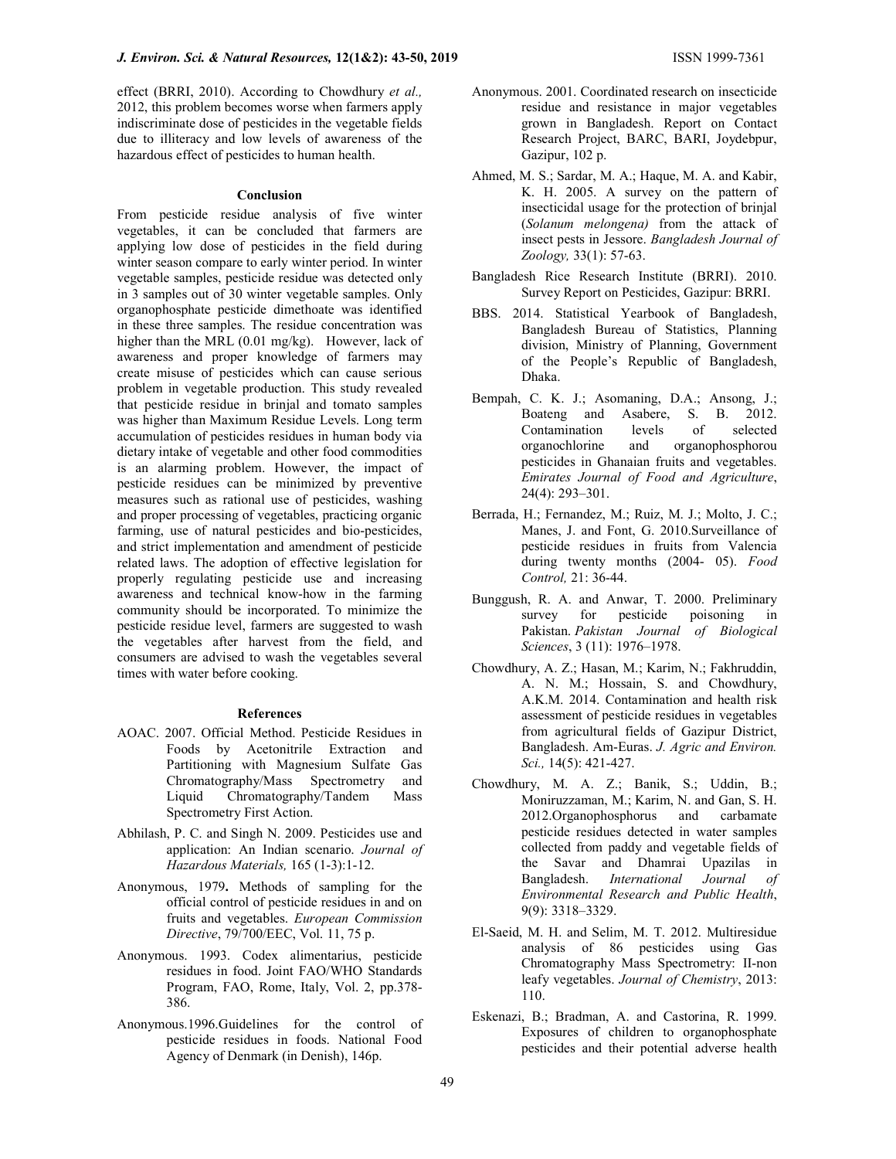effect (BRRI, 2010). According to Chowdhury et al., 2012, this problem becomes worse when farmers apply indiscriminate dose of pesticides in the vegetable fields due to illiteracy and low levels of awareness of the hazardous effect of pesticides to human health.

## Conclusion

From pesticide residue analysis of five winter vegetables, it can be concluded that farmers are applying low dose of pesticides in the field during winter season compare to early winter period. In winter vegetable samples, pesticide residue was detected only in 3 samples out of 30 winter vegetable samples. Only organophosphate pesticide dimethoate was identified in these three samples. The residue concentration was higher than the MRL (0.01 mg/kg). However, lack of awareness and proper knowledge of farmers may create misuse of pesticides which can cause serious problem in vegetable production. This study revealed that pesticide residue in brinjal and tomato samples was higher than Maximum Residue Levels. Long term accumulation of pesticides residues in human body via dietary intake of vegetable and other food commodities is an alarming problem. However, the impact of pesticide residues can be minimized by preventive measures such as rational use of pesticides, washing and proper processing of vegetables, practicing organic farming, use of natural pesticides and bio-pesticides, and strict implementation and amendment of pesticide related laws. The adoption of effective legislation for properly regulating pesticide use and increasing awareness and technical know-how in the farming community should be incorporated. To minimize the pesticide residue level, farmers are suggested to wash the vegetables after harvest from the field, and consumers are advised to wash the vegetables several times with water before cooking.

#### References

- AOAC. 2007. Official Method. Pesticide Residues in Foods by Acetonitrile Extraction and Partitioning with Magnesium Sulfate Gas Chromatography/Mass Spectrometry and Liquid Chromatography/Tandem Mass Spectrometry First Action.
- Abhilash, P. C. and Singh N. 2009. Pesticides use and application: An Indian scenario. Journal of Hazardous Materials, 165 (1-3):1-12.
- Anonymous, 1979. Methods of sampling for the official control of pesticide residues in and on fruits and vegetables. European Commission Directive, 79/700/EEC, Vol. 11, 75 p.
- Anonymous. 1993. Codex alimentarius, pesticide residues in food. Joint FAO/WHO Standards Program, FAO, Rome, Italy, Vol. 2, pp.378- 386.
- Anonymous.1996.Guidelines for the control of pesticide residues in foods. National Food Agency of Denmark (in Denish), 146p.
- Anonymous. 2001. Coordinated research on insecticide residue and resistance in major vegetables grown in Bangladesh. Report on Contact Research Project, BARC, BARI, Joydebpur, Gazipur, 102 p.
- Ahmed, M. S.; Sardar, M. A.; Haque, M. A. and Kabir, K. H. 2005. A survey on the pattern of insecticidal usage for the protection of brinjal (Solanum melongena) from the attack of insect pests in Jessore. Bangladesh Journal of Zoology, 33(1): 57-63.
- Bangladesh Rice Research Institute (BRRI). 2010. Survey Report on Pesticides, Gazipur: BRRI.
- BBS. 2014. Statistical Yearbook of Bangladesh, Bangladesh Bureau of Statistics, Planning division, Ministry of Planning, Government of the People's Republic of Bangladesh, Dhaka.
- Bempah, C. K. J.; Asomaning, D.A.; Ansong, J.; Boateng and Asabere, S. B. 2012. Contamination levels of selected organochlorine and organophosphorou pesticides in Ghanaian fruits and vegetables. Emirates Journal of Food and Agriculture, 24(4): 293–301.
- Berrada, H.; Fernandez, M.; Ruiz, M. J.; Molto, J. C.; Manes, J. and Font, G. 2010.Surveillance of pesticide residues in fruits from Valencia during twenty months (2004- 05). Food Control, 21: 36-44.
- Bunggush, R. A. and Anwar, T. 2000. Preliminary survey for pesticide poisoning in Pakistan. Pakistan Journal of Biological Sciences, 3 (11): 1976–1978.
- Chowdhury, A. Z.; Hasan, M.; Karim, N.; Fakhruddin, A. N. M.; Hossain, S. and Chowdhury, A.K.M. 2014. Contamination and health risk assessment of pesticide residues in vegetables from agricultural fields of Gazipur District, Bangladesh. Am-Euras. J. Agric and Environ. Sci., 14(5): 421-427.
- Chowdhury, M. A. Z.; Banik, S.; Uddin, B.; Moniruzzaman, M.; Karim, N. and Gan, S. H. 2012.Organophosphorus and carbamate pesticide residues detected in water samples collected from paddy and vegetable fields of the Savar and Dhamrai Upazilas in Bangladesh. International Journal of Environmental Research and Public Health, 9(9): 3318–3329.
- El-Saeid, M. H. and Selim, M. T. 2012. Multiresidue analysis of 86 pesticides using Gas Chromatography Mass Spectrometry: II-non leafy vegetables. Journal of Chemistry, 2013: 110.
- Eskenazi, B.; Bradman, A. and Castorina, R. 1999. Exposures of children to organophosphate pesticides and their potential adverse health